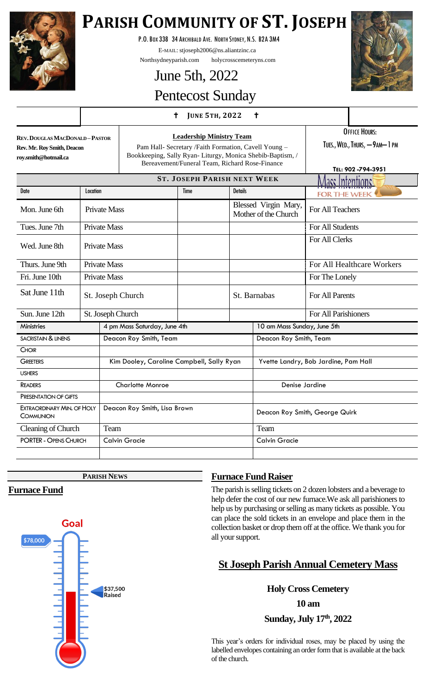

# **PARISH COMMUNITY OF ST. JOSEPH**

P.O.BOX 338 34 ARCHIBALD AVE. NORTH SYDNEY, N.S. B2A 3M4

E-MAIL: stjoseph2006@ns.aliantzinc.ca

Northsydneyparish.com holycrosscemeteryns.com

# June 5th, 2022



# Pentecost Sunday

## **<sup>J</sup>UNE 5TH, <sup>2022</sup>**

**REV.DOUGLAS MACDONALD –PASTOR Rev. Mr. Roy Smith, Deacon roy.smith@hotmail.ca**

**Leadership Ministry Team** Pam Hall- Secretary /Faith Formation, Cavell Young – Bookkeeping, Sally Ryan- Liturgy, Monica Shebib-Baptism, / Bereavement/Funeral Team, Richard Rose-Finance

OFFICE HOURS: TUES., WED., THURS, - 9AM-1 PM

|                                                |          |                                           |                   | Beleavellient Functal Team, Kichard Rose-Finance |                                              |                                      | TEL: 902-794-3951          |
|------------------------------------------------|----------|-------------------------------------------|-------------------|--------------------------------------------------|----------------------------------------------|--------------------------------------|----------------------------|
|                                                |          |                                           |                   | <b>ST. JOSEPH PARISH NEXT WEEK</b>               |                                              |                                      | <u> Vlass Intentions </u>  |
| Date                                           | Location |                                           |                   | <b>Time</b>                                      | <b>Details</b>                               |                                      | <b>FOR THE WEEK</b>        |
| Mon. June 6th                                  |          | <b>Private Mass</b>                       |                   |                                                  | Blessed Virgin Mary,<br>Mother of the Church |                                      | For All Teachers           |
| Tues. June 7th                                 |          | <b>Private Mass</b>                       |                   |                                                  |                                              |                                      | For All Students           |
| Wed. June 8th                                  |          | <b>Private Mass</b>                       |                   |                                                  |                                              |                                      | For All Clerks             |
| Thurs. June 9th                                |          | <b>Private Mass</b>                       |                   |                                                  |                                              |                                      | For All Healthcare Workers |
| Fri. June 10th                                 |          | <b>Private Mass</b>                       |                   |                                                  |                                              |                                      | For The Lonely             |
| Sat June 11th                                  |          |                                           | St. Joseph Church |                                                  | St. Barnabas                                 |                                      | For All Parents            |
| Sun. June 12th                                 |          |                                           | St. Joseph Church |                                                  |                                              |                                      | For All Parishioners       |
| <b>Ministries</b>                              |          | 4 pm Mass Saturday, June 4th              |                   |                                                  |                                              | 10 am Mass Sunday, June 5th          |                            |
| <b>SACRISTAIN &amp; LINENS</b>                 |          | Deacon Roy Smith, Team                    |                   |                                                  |                                              | Deacon Roy Smith, Team               |                            |
| <b>CHOIR</b>                                   |          |                                           |                   |                                                  |                                              |                                      |                            |
| <b>GREETERS</b>                                |          | Kim Dooley, Caroline Campbell, Sally Ryan |                   |                                                  |                                              | Yvette Landry, Bob Jardine, Pam Hall |                            |
| <b>USHERS</b>                                  |          |                                           |                   |                                                  |                                              |                                      |                            |
| <b>READERS</b>                                 |          | <b>Charlotte Monroe</b>                   |                   |                                                  |                                              | Denise Jardine                       |                            |
| PRESENTATION OF GIFTS                          |          |                                           |                   |                                                  |                                              |                                      |                            |
| <b>EXTRAORDINARY MIN. OF HOLY</b><br>COMMUNION |          | Deacon Roy Smith, Lisa Brown              |                   |                                                  |                                              | Deacon Roy Smith, George Quirk       |                            |
| Cleaning of Church                             |          | Team                                      |                   |                                                  |                                              | Team                                 |                            |
| <b>PORTER - OPENS CHURCH</b>                   |          | <b>Calvin Gracie</b>                      |                   |                                                  |                                              | <b>Calvin Gracie</b>                 |                            |
|                                                |          |                                           |                   |                                                  |                                              |                                      |                            |

**PARISH NEWS**

# **Furnace Fund**



# **Furnace Fund Raiser**

The parish is selling tickets on 2 dozen lobsters and a beverage to help defer the cost of our new furnace.We ask all parishioners to help us by purchasing or selling as many tickets as possible. You can place the sold tickets in an envelope and place them in the collection basket or drop them off at the office. We thank you for all your support.

# **St Joseph Parish Annual Cemetery Mass**

# **Holy Cross Cemetery**

**10 am**

**Sunday, July 17th, 2022**

This year's orders for individual roses, may be placed by using the labelled envelopes containing an order form that is available at the back of the church.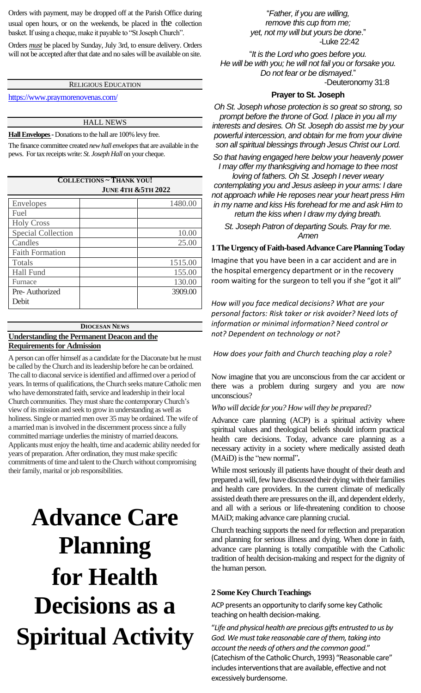Orders with payment, may be dropped off at the Parish Office during usual open hours, or on the weekends, be placed in the collection basket. If using a cheque, make it payable to "St Joseph Church".

Orders *must* be placed by Sunday, July 3rd, to ensure delivery. Orders will not be accepted after that date and no sales will be available on site.

## RELIGIOUS EDUCATION

<https://www.praymorenovenas.com/>

#### HALL NEWS

**Hall Envelopes -**Donations to the hall are 100% levy free.

The finance committee created *new hall envelopes*that are available in the pews. For tax receipts write: *St. Joseph Hall* on your cheque.

#### **COLLECTIONS ~ THANK YOU! JUNE 4TH &5TH 2022**

| Envelopes                 | 1480.00 |
|---------------------------|---------|
| Fuel                      |         |
| <b>Holy Cross</b>         |         |
| <b>Special Collection</b> | 10.00   |
| Candles                   | 25.00   |
| <b>Faith Formation</b>    |         |
| Totals                    | 1515.00 |
| <b>Hall Fund</b>          | 155.00  |
| Furnace                   | 130.00  |
| Pre-Authorized            | 3909.00 |
| Debit                     |         |

## **DIOCESAN NEWS**

#### **Understanding the Permanent Deacon and the Requirements for Admission**

A person can offer himself as a candidate for the Diaconate but he must be called by the Church and its leadership before he can be ordained. The call to diaconal service is identified and affirmed over a period of years. In terms of qualifications, the Church seeks mature Catholic men who have demonstrated faith, service and leadership in their local Church communities. They must share the contemporary Church's view of its mission and seek to grow in understanding as well as holiness. Single or married men over 35 may be ordained. The wife of a married man is involved in the discernment process since a fully committed marriage underlies the ministry of married deacons. Applicants must enjoy the health, time and academic ability needed for years of preparation. After ordination, they must make specific commitments of time and talent to the Church without compromising their family, marital or job responsibilities.

# **Advance Care Planning for Health Decisions as a Spiritual Activity**

"*Father, if you are willing, remove this cup from me; yet, not my will but yours be done*." -Luke 22:42

"*It is the Lord who goes before you. He will be with you; he will not fail you or forsake you. Do not fear or be dismayed*." -Deuteronomy 31:8

#### **Prayer to St. Joseph**

*Oh St. Joseph whose protection is so great so strong, so prompt before the throne of God. I place in you all my interests and desires. Oh St. Joseph do assist me by your powerful intercession, and obtain for me from your divine son all spiritual blessings through Jesus Christ our Lord.*

*So that having engaged here below your heavenly power I may offer my thanksgiving and homage to thee most* 

*loving of fathers. Oh St. Joseph I never weary contemplating you and Jesus asleep in your arms: I dare not approach while He reposes near your heart press Him in my name and kiss His forehead for me and ask Him to return the kiss when I draw my dying breath.*

*St. Joseph Patron of departing Souls. Pray for me. Amen*

#### **1The Urgency of Faith-based Advance Care PlanningToday**

Imagine that you have been in a car accident and are in the hospital emergency department or in the recovery room waiting for the surgeon to tell you if she "got it all"

*How will you face medical decisions? What are your personal factors: Risk taker or risk avoider? Need lots of information or minimal information? Need control or not? Dependent on technology or not?*

*How does your faith and Church teaching play a role?*

Now imagine that you are unconscious from the car accident or there was a problem during surgery and you are now unconscious?

*Who will decide for you? How will they be prepared?*

Advance care planning (ACP) is a spiritual activity where spiritual values and theological beliefs should inform practical health care decisions. Today, advance care planning as a necessary activity in a society where medically assisted death (MAiD) is the "new normal"**.**

While most seriously ill patients have thought of their death and prepared a will, few have discussed their dying with their families and health care providers. In the current climate of medically assisted death there are pressures on the ill, and dependent elderly, and all with a serious or life-threatening condition to choose MAiD; making advance care planning crucial.

Church teaching supports the need for reflection and preparation and planning for serious illness and dying. When done in faith, advance care planning is totally compatible with the Catholic tradition of health decision-making and respect for the dignity of the human person.

#### **2 Some Key Church Teachings**

ACP presents an opportunity to clarify some key Catholic teaching on health decision-making.

"*Life and physical health are precious gifts entrusted to us by God. We must take reasonable care of them, taking into account the needs of others and the common good*." (Catechism of the Catholic Church, 1993) "Reasonable care" includes interventions that are available, effective and not excessively burdensome.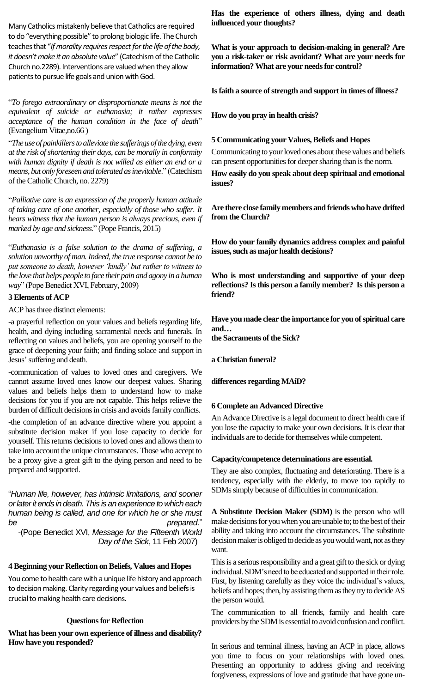Many Catholics mistakenly believe that Catholics are required to do "everything possible" to prolong biologic life. The Church teaches that "*If morality requires respect for the life of the body, it doesn't make it an absolute value*" (Catechism of the Catholic Church no.2289). Interventions are valued when they allow patients to pursue life goals and union with God.

"*To forego extraordinary or disproportionate means is not the equivalent of suicide or euthanasia; it rather expresses acceptance of the human condition in the face of death*" (Evangelium Vitae,no.66 )

"*The use of painkillers to alleviate the sufferings of the dying, even at the risk of shortening their days, can be morally in conformity with human dignity if death is not willed as either an end or a means, but only foreseen and tolerated as inevitable*." (Catechism of the Catholic Church, no. 2279)

"*Palliative care is an expression of the properly human attitude of taking care of one another, especially of those who suffer. It bears witness that the human person is always precious, even if marked by age and sickness*." (Pope Francis, 2015)

"*Euthanasia is a false solution to the drama of suffering, a solution unworthy of man. Indeed, the true response cannot be to put someone to death, however 'kindly' but rather to witness to the love that helps people to face their pain and agony in a human way*" (Pope Benedict XVI, February, 2009)

#### **3 Elements of ACP**

ACP has three distinct elements:

-a prayerful reflection on your values and beliefs regarding life, health, and dying including sacramental needs and funerals. In reflecting on values and beliefs, you are opening yourself to the grace of deepening your faith; and finding solace and support in Jesus' suffering and death.

-communication of values to loved ones and caregivers. We cannot assume loved ones know our deepest values. Sharing values and beliefs helps them to understand how to make decisions for you if you are not capable. This helps relieve the burden of difficult decisions in crisis and avoids family conflicts.

-the completion of an advance directive where you appoint a substitute decision maker if you lose capacity to decide for yourself. This returns decisions to loved ones and allows them to take into account the unique circumstances. Those who accept to be a proxy give a great gift to the dying person and need to be prepared and supported.

"*Human life, however, has intrinsic limitations, and sooner or later it ends in death. This is an experience to which each human being is called, and one for which he or she must be prepared*."

 -(Pope Benedict XVI, *Message for the Fifteenth World Day of the Sick*, 11 Feb 2007)

#### **4 Beginning your Reflection on Beliefs, Values and Hopes**

You come to health care with a unique life history and approach to decision making. Clarity regarding your values and beliefs is crucial to making health care decisions.

#### **Questions for Reflection**

**What has been your own experience of illness and disability? How have you responded?**

**Has the experience of others illness, dying and death influenced your thoughts?**

**What is your approach to decision-making in general? Are you a risk-taker or risk avoidant? What are your needs for information? What are your needs for control?**

**Is faith a source of strength and support in times of illness?**

**How do you pray in health crisis?**

#### **5 Communicating your Values, Beliefs and Hopes**

Communicating to your loved ones about these values and beliefs can present opportunities for deeper sharing than is the norm.

**How easily do you speak about deep spiritual and emotional issues?**

**Are there close family members and friends who have drifted from the Church?** 

**How do your family dynamics address complex and painful issues, such as major health decisions?**

**Who is most understanding and supportive of your deep reflections? Is this person a family member? Is this person a friend?**

**Have you made clear the importance for you of spiritual care and…**

**the Sacraments of the Sick?** 

**a Christian funeral?**

**differences regarding MAiD?**

#### **6 Complete an Advanced Directive**

An Advance Directive is a legal document to direct health care if you lose the capacity to make your own decisions. It is clear that individuals are to decide for themselves while competent.

#### **Capacity/competence determinations are essential.**

They are also complex, fluctuating and deteriorating. There is a tendency, especially with the elderly, to move too rapidly to SDMs simply because of difficulties in communication.

**A Substitute Decision Maker (SDM)** is the person who will make decisions for you when you are unable to; to the best of their ability and taking into account the circumstances. The substitute decision maker is obliged to decide as you would want, not as they want.

This is a serious responsibility and a great gift to the sick or dying individual. SDM's need to be educated and supported in their role. First, by listening carefully as they voice the individual's values, beliefs and hopes; then, by assisting them as they try to decide AS the person would.

The communication to all friends, family and health care providers by the SDM is essential to avoid confusion and conflict.

In serious and terminal illness, having an ACP in place, allows you time to focus on your relationships with loved ones. Presenting an opportunity to address giving and receiving forgiveness, expressions of love and gratitude that have gone un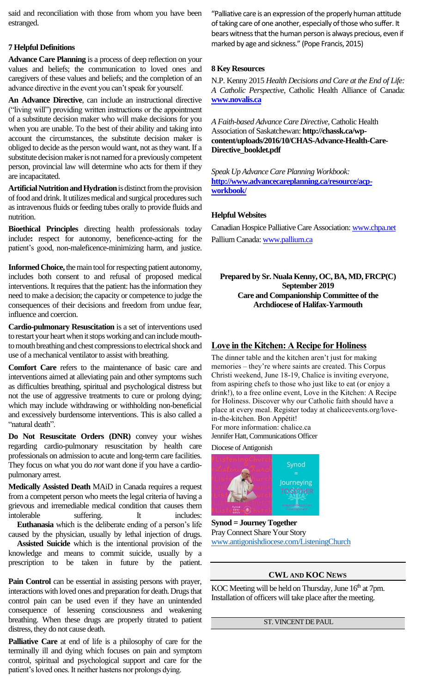said and reconciliation with those from whom you have been estranged.

#### **7 Helpful Definitions**

**Advance Care Planning** is a process of deep reflection on your values and beliefs; the communication to loved ones and caregivers of these values and beliefs; and the completion of an advance directive in the event you can't speak for yourself.

**An Advance Directive**, can include an instructional directive ("living will") providing written instructions or the appointment of a substitute decision maker who will make decisions for you when you are unable. To the best of their ability and taking into account the circumstances, the substitute decision maker is obliged to decide as the person would want, not as they want. If a substitute decision maker is not named for a previously competent person, provincial law will determine who acts for them if they are incapacitated.

**Artificial Nutrition and Hydration** is distinct from the provision of food and drink. It utilizes medical and surgical procedures such as intravenous fluids or feeding tubes orally to provide fluids and nutrition.

**Bioethical Principles** directing health professionals today include**:** respect for autonomy, beneficence-acting for the patient's good, non-maleficence-minimizing harm, and justice.

**Informed Choice,** the main tool for respecting patient autonomy, includes both consent to and refusal of proposed medical interventions. It requires that the patient: has the information they need to make a decision; the capacity or competence to judge the consequences of their decisions and freedom from undue fear, influence and coercion.

**Cardio-pulmonary Resuscitation** is a set of interventions used to restart your heart when it stops working and can include mouthto mouth breathing and chest compressions to electrical shock and use of a mechanical ventilator to assist with breathing.

**Comfort Care** refers to the maintenance of basic care and interventions aimed at alleviating pain and other symptoms such as difficulties breathing, spiritual and psychological distress but not the use of aggressive treatments to cure or prolong dying; which may include withdrawing or withholding non-beneficial and excessively burdensome interventions. This is also called a "natural death".

**Do Not Resuscitate Orders (DNR)** convey your wishes regarding cardio-pulmonary resuscitation by health care professionals on admission to acute and long-term care facilities. They focus on what you do *not* want done if you have a cardiopulmonary arrest.

**Medically Assisted Death** MAiD in Canada requires a request from a competent person who meets the legal criteria of having a grievous and irremediable medical condition that causes them intolerable suffering. It includes:  **Euthanasia** which is the deliberate ending of a person's life

caused by the physician, usually by lethal injection of drugs.

 **Assisted Suicide** which is the intentional provision of the knowledge and means to commit suicide, usually by a prescription to be taken in future by the patient.

**Pain Control** can be essential in assisting persons with prayer, interactions with loved ones and preparation for death. Drugs that control pain can be used even if they have an unintended consequence of lessening consciousness and weakening breathing. When these drugs are properly titrated to patient distress, they do not cause death.

**Palliative Care** at end of life is a philosophy of care for the terminally ill and dying which focuses on pain and symptom control, spiritual and psychological support and care for the patient's loved ones. It neither hastens nor prolongs dying.

"Palliative care is an expression of the properly human attitude of taking care of one another, especially of those who suffer. It bears witness that the human person is always precious, even if marked by age and sickness." (Pope Francis, 2015)

#### **8 Key Resources**

N.P. Kenny 2015 *Health Decisions and Care at the End of Life: A Catholic Perspective*, Catholic Health Alliance of Canada: **[www.novalis.ca](http://www.novalis.ca/)**

*A Faith-based Advance Care Directive*, Catholic Health Association of Saskatchewan: **http://chassk.ca/wpcontent/uploads/2016/10/CHAS-Advance-Health-Care-Directive\_booklet.pdf**

*Speak Up Advance Care Planning Workbook:*  **[http://www.advancecareplanning.ca/resource/acp](http://www.advancecareplanning.ca/resource/acp-workbook/)[workbook/](http://www.advancecareplanning.ca/resource/acp-workbook/)**

#### **Helpful Websites**

Canadian Hospice Palliative Care Association[: www.chpa.net](http://www.chpa.net/) Pallium Canada[: www.pallium.ca](http://www.pallium.ca/)

**Prepared by Sr. Nuala Kenny, OC, BA, MD, FRCP(C) September 2019 Care and Companionship Committee of the Archdiocese of Halifax-Yarmouth**

#### **Love in the Kitchen: A Recipe for Holiness**

The dinner table and the kitchen aren't just for making memories – they're where saints are created. This Corpus Christi weekend, June 18-19, Chalice is inviting everyone, from aspiring chefs to those who just like to eat (or enjoy a drink!), to a free online event, Love in the Kitchen: A Recipe for Holiness. Discover why our Catholic faith should have a place at every meal. Register today at chaliceevents.org/lovein-the-kitchen. Bon Appétit! For more information: chalice.ca

Jennifer Hatt, Communications Officer

Diocese of Antigonish



**Synod = Journey Together** Pray Connect Share Your Story [www.antigonishdiocese.com/ListeningChurch](http://www.antigonishdiocese.com/ListeningChurch)

### **CWL AND KOC NEWS**

KOC Meeting will be held on Thursday, June 16<sup>th</sup> at 7pm. Installation of officers will take place after the meeting.

#### ST. VINCENT DE PAUL